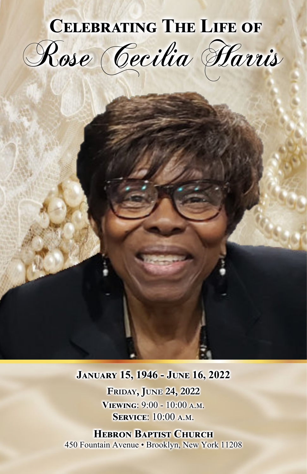## **CELEBRATING THE LIFE OF** Rose Cecilia Harris

## **JANUARY 15, 1946 - JUNE 16, 2022**

**FRIDAY, JUNE 24, 2022** VIEWING: 9:00 - 10:00 A.M. **SERVICE:** 10:00 A.M.

**HEBRON BAPTIST CHURCH** 450 Fountain Avenue · Brooklyn, New York 11208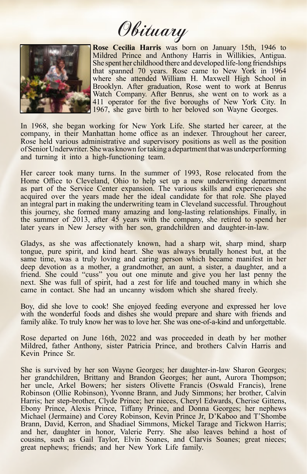Obituary



**Rose Cecilia Harris** was born on January 15th, 1946 to Mildred Prince and Anthony Harris in Willikies, Antigua. She spent her childhood there and developed life-long friendships that spanned 70 years. Rose came to New York in 1964 where she attended William H. Maxwell High School in Brooklyn. After graduation, Rose went to work at Benrus Watch Company. After Benrus, she went on to work as a 411 operator for the five boroughs of New York City. In 1967, she gave birth to her beloved son Wayne Georges.

In 1968, she began working for New York Life. She started her career, at the company, in their Manhattan home office as an indexer. Throughout her career, Rose held various administrative and supervisory positions as well as the position of Senior Underwriter. She was known fortaking a departmentthat was underperforming and turning it into a high-functioning team.

Her career took many turns. In the summer of 1993, Rose relocated from the Home Office to Cleveland, Ohio to help set up a new underwriting department as part of the Service Center expansion. The various skills and experiences she acquired over the years made her the ideal candidate for that role. She played an integral part in making the underwriting team in Cleveland successful. Throughout this journey, she formed many amazing and long-lasting relationships. Finally, in the summer of 2013, after 45 years with the company, she retired to spend her later years in New Jersey with her son, grandchildren and daughter-in-law.

Gladys, as she was affectionately known, had a sharp wit, sharp mind, sharp tongue, pure spirit, and kind heart. She was always brutally honest but, at the same time, was a truly loving and caring person which became manifest in her deep devotion as a mother, a grandmother, an aunt, a sister, a daughter, and a friend. She could "cuss" you out one minute and give you her last penny the next. She was full of spirit, had a zest for life and touched many in which she came in contact. She had an uncanny wisdom which she shared freely.

Boy, did she love to cook! She enjoyed feeding everyone and expressed her love with the wonderful foods and dishes she would prepare and share with friends and family alike. To truly know her was to love her. She was one-of-a-kind and unforgettable.

Rose departed on June 16th, 2022 and was proceeded in death by her mother Mildred, father Anthony, sister Patricia Prince, and brothers Calvin Harris and Kevin Prince Sr.

She is survived by her son Wayne Georges; her daughter-in-law Sharon Georges; her grandchildren, Brittany and Brandon Georges; her aunt, Aurora Thompson; her uncle, Arkel Bowers; her sisters Olivette Francis (Oswald Francis), Irene Robinson (Ollie Robinson), Yvonne Brann, and Judy Simmons; her brother, Calvin Harris; her step-brother, Clyde Prince; her nieces, Cheryl Edwards, Cherise Gittens, Ebony Prince, Alexis Prince, Tiffany Prince, and Donna Georges; her nephews Michael (Jermaine) and Corey Robinson, Kevin Prince Jr, D'Kaboo and T'Shombe Brann, David, Kerron, and Shadiael Simmons, Mickel Tarage and Tickwon Harris; and her, daughter in honor, Valerie Perry. She also leaves behind a host of cousins, such as Gail Taylor, Elvin Soanes, and Clarvis Soanes; great nieces; great nephews; friends; and her New York Life family.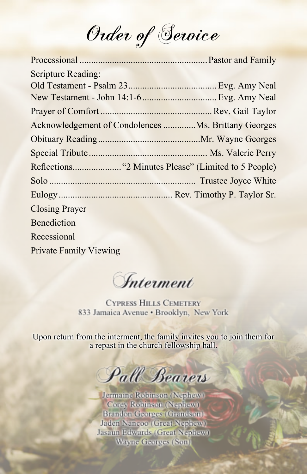Order of Service

| <b>Scripture Reading:</b>                           |  |
|-----------------------------------------------------|--|
|                                                     |  |
| New Testament - John 14:1-6  Evg. Amy Neal          |  |
|                                                     |  |
| Acknowledgement of Condolences Ms. Brittany Georges |  |
|                                                     |  |
|                                                     |  |
|                                                     |  |
|                                                     |  |
|                                                     |  |
| <b>Closing Prayer</b>                               |  |
| Benediction                                         |  |
| Recessional                                         |  |
| <b>Private Family Viewing</b>                       |  |
|                                                     |  |

**Interment** 

**CYPRESS HILLS CEMETERY** 833 Jamaica Avenue · Brooklyn, New York

Upon return from the interment, the family invites you to join them for a repast in the church fellowship hall.

Pall Bearers

Jermaine Robinson (Nephew) Corey Robinson (Nephew) **Brandon Georges (Grandson)** Jaden Nancoo (Great Nephew) Jasaun Edwards (Great Nephew) Wayne Georges (Son)